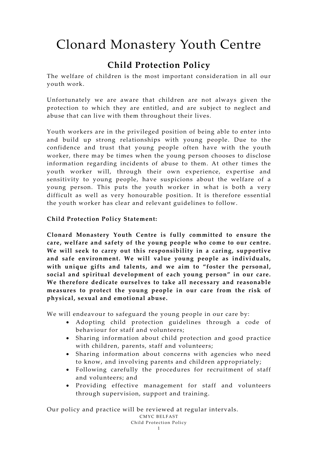# Clonard Monastery Youth Centre

### **Child Protection Policy**

The welfare of children is the most important consideration in all our youth work.

Unfortunately we are aware that children are not always given the protection to which they are entitled, and are subject to neglect and abuse that can live with them throughout their lives.

Youth workers are in the privileged position of being able to enter into and build up strong relationships with young people. Due to the confidence and trust that young people often have with the youth worker, there may be times when the young person chooses to disclose information regarding incidents of abuse to them. At other times the youth worker will, through their own experience, expertise and sensitivity to young people, have suspicions about the welfare of a young person. This puts the youth worker in what is both a very difficult as well as very honourable position. It is therefore essential the youth worker has clear and relevant guidelines to follow.

#### **Child Protection Policy Statement:**

**Clonard Monastery Youth Centre is fully committed to ensure the care, welfare and safety of the young people who come to our centre. We will seek to carry out this responsibility in a caring, supportive and safe environment. We will value young people as individuals, with unique gifts and talents, and we aim to "foster the personal, social and spiritual development of each young person" in our care. We therefore dedicate ourselves to take all necessary and reasonable measures to protect the young people in our care from the risk of physical, sexual and emotional abuse.**

We will endeavour to safeguard the young people in our care by:

- Adopting child protection guidelines through a code of behaviour for staff and volunteers;
- Sharing information about child protection and good practice with children, parents, staff and volunteers;
- Sharing information about concerns with agencies who need to know, and involving parents and children appropriately;
- Following carefully the procedures for recruitment of staff and volunteers; and
- Providing effective management for staff and volunteers through supervision, support and training.

Our policy and practice will be reviewed at regular intervals.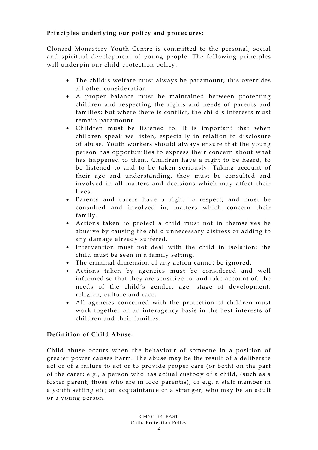#### **Principles underlying our policy and procedures:**

Clonard Monastery Youth Centre is committed to the personal, social and spiritual development of young people. The following principles will underpin our child protection policy.

- The child's welfare must always be paramount; this overrides all other consideration.
- A proper balance must be maintained between protecting children and respecting the rights and needs of parents and families; but where there is conflict, the child's interests must remain paramount.
- Children must be listened to. It is important that when children speak we listen, especially in relation to disclosure of abuse. Youth workers should always ensure that the young person has opportunities to express their concern about what has happened to them. Children have a right to be heard, to be listened to and to be taken seriously. Taking account of their age and understanding, they must be consulted and involved in all matters and decisions which may affect their lives.
- Parents and carers have a right to respect, and must be consulted and involved in, matters which concern their family.
- Actions taken to protect a child must not in themselves be abusive by causing the child unnecessary distress or adding to any damage already suffered.
- Intervention must not deal with the child in isolation: the child must be seen in a family setting.
- The criminal dimension of any action cannot be ignored.
- Actions taken by agencies must be considered and well informed so that they are sensitive to, and take account of, the needs of the child's gender, age, stage of development, religion, culture and race.
- All agencies concerned with the protection of children must work together on an interagency basis in the best interests of children and their families.

#### **Definition of Child Abuse:**

Child abuse occurs when the behaviour of someone in a position of greater power causes harm. The abuse may be the result of a deliberate act or of a failure to act or to provide proper care (or both) on the part of the carer: e.g., a person who has actual custody of a child, (such as a foster parent, those who are in loco parentis), or e.g. a staff member in a youth setting etc; an acquaintance or a stranger, who may be an adult or a young person.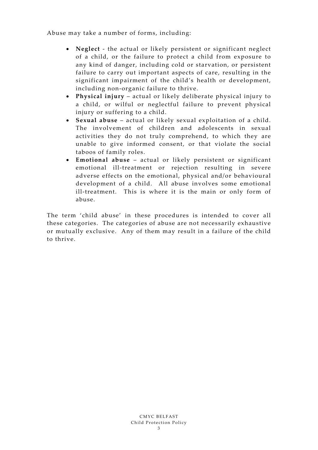Abuse may take a number of forms, including:

- **Neglect**  the actual or likely persistent or significant neglect of a child, or the failure to protect a child from exposure to any kind of danger, including cold or starvation, or persistent failure to carry out important aspects of care, resulting in the significant impairment of the child's health or development, including non-organic failure to thrive.
- **Physical injury** actual or likely deliberate physical injury to a child, or wilful or neglectful failure to prevent physical injury or suffering to a child.
- **Sexual abuse** actual or likely sexual exploitation of a child. The involvement of children and adolescents in sexual activities they do not truly comprehend, to which they are unable to give informed consent, or that violate the social taboos of family roles.
- **Emotional abuse** actual or likely persistent or significant emotional ill-treatment or rejection resulting in severe adverse effects on the emotional, physical and/or behavioural development of a child. All abuse involves some emotional ill-treatment. This is where it is the main or only form of abuse.

The term 'child abuse' in these procedures is intended to cover all these categories. The categories of abuse are not necessarily exhaustive or mutually exclusive. Any of them may result in a failure of the child to thrive.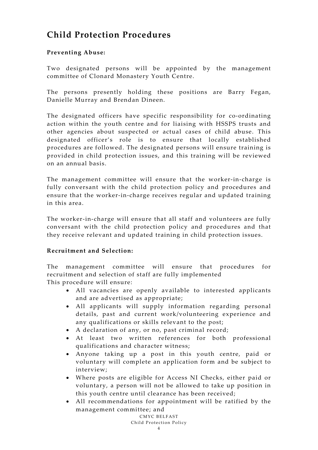## **Child Protection Procedures**

#### **Preventing Abuse:**

Two designated persons will be appointed by the management committee of Clonard Monastery Youth Centre.

The persons presently holding these positions are Barry Fegan, Danielle Murray and Brendan Dineen.

The designated officers have specific responsibility for co-ordinating action within the youth centre and for liaising with HSSPS trusts and other agencies about suspected or actual cases of child abuse. This designated officer's role is to ensure that locally established procedures are followed. The designated persons will ensure training is provided in child protection issues, and this training will be reviewed on an annual basis.

The management committee will ensure that the worker-in-charge is fully conversant with the child protection policy and procedures and ensure that the worker-in-charge receives regular and updated training in this area.

The worker-in-charge will ensure that all staff and volunteers are fully conversant with the child protection policy and procedures and that they receive relevant and updated training in child protection issues.

#### **Recruitment and Selection:**

The management committee will ensure that procedures for recruitment and selection of staff are fully implemented

This procedure will ensure:

- All vacancies are openly available to interested applicants and are advertised as appropriate;
- All applicants will supply information regarding personal details, past and current work/volunteering experience and any qualifications or skills relevant to the post;
- A declaration of any, or no, past criminal record;
- At least two written references for both professional qualifications and character witness;
- Anyone taking up a post in this youth centre, paid or voluntary will complete an application form and be subject to interview;
- Where posts are eligible for Access NI Checks, either paid or voluntary, a person will not be allowed to take up position in this youth centre until clearance has been received;
- All recommendations for appointment will be ratified by the management committee; and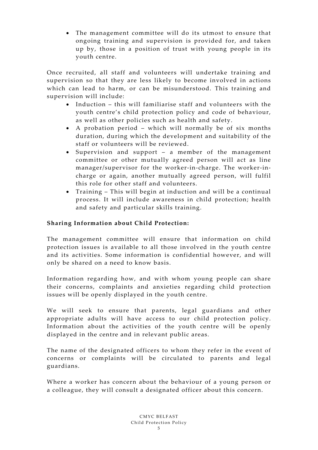• The management committee will do its utmost to ensure that ongoing training and supervision is provided for, and taken up by, those in a position of trust with young people in its youth centre.

Once recruited, all staff and volunteers will undertake training and supervision so that they are less likely to become involved in actions which can lead to harm, or can be misunderstood. This training and supervision will include:

- Induction this will familiarise staff and volunteers with the youth centre's child protection policy and code of behaviour, as well as other policies such as health and safety.
- A probation period which will normally be of six months duration, during which the development and suitability of the staff or volunteers will be reviewed.
- Supervision and support a member of the management committee or other mutually agreed person will act as line manager/supervisor for the worker-in-charge. The worker-incharge or again, another mutually agreed person, will fulfil this role for other staff and volunteers.
- Training This will begin at induction and will be a continual process. It will include awareness in child protection; health and safety and particular skills training.

#### **Sharing Information about Child Protection:**

The management committee will ensure that information on child protection issues is available to all those involved in the youth centre and its activities. Some information is confidential however, and will only be shared on a need to know basis.

Information regarding how, and with whom young people can share their concerns, complaints and anxieties regarding child protection issues will be openly displayed in the youth centre.

We will seek to ensure that parents, legal guardians and other appropriate adults will have access to our child protection policy. Information about the activities of the youth centre will be openly displayed in the centre and in relevant public areas.

The name of the designated officers to whom they refer in the event of concerns or complaints will be circulated to parents and legal guardians.

Where a worker has concern about the behaviour of a young person or a colleague, they will consult a designated officer about this concern.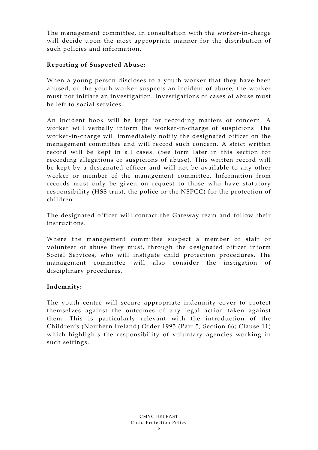The management committee, in consultation with the worker-in-charge will decide upon the most appropriate manner for the distribution of such policies and information.

#### **Reporting of Suspected Abuse:**

When a young person discloses to a youth worker that they have been abused, or the youth worker suspects an incident of abuse, the worker must not initiate an investigation. Investigations of cases of abuse must be left to social services.

An incident book will be kept for recording matters of concern. A worker will verbally inform the worker-in-charge of suspicions. The worker-in-charge will immediately notify the designated officer on the management committee and will record such concern. A strict written record will be kept in all cases. (See form later in this section for recording allegations or suspicions of abuse). This written record will be kept by a designated officer and will not be available to any other worker or member of the management committee. Information from records must only be given on request to those who have statutory responsibility (HSS trust, the police or the NSPCC) for the protection of children.

The designated officer will contact the Gateway team and follow their instructions.

Where the management committee suspect a member of staff or volunteer of abuse they must, through the designated officer inform Social Services, who will instigate child protection procedures. The management committee will also consider the instigation of disciplinary procedures.

#### **Indemnity:**

The youth centre will secure appropriate indemnity cover to protect themselves against the outcomes of any legal action taken against them. This is particularly relevant with the introduction of the Children's (Northern Ireland) Order 1995 (Part 5; Section 66; Clause 11) which highlights the responsibility of voluntary agencies working in such settings.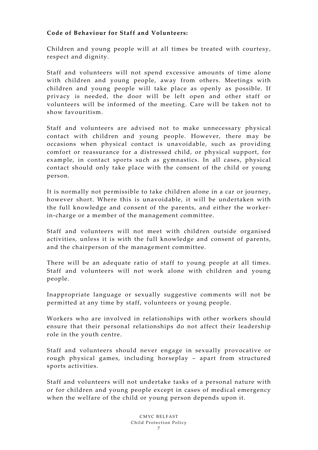#### **Code of Behaviour for Staff and Volunteers:**

Children and young people will at all times be treated with courtesy, respect and dignity.

Staff and volunteers will not spend excessive amounts of time alone with children and young people, away from others. Meetings with children and young people will take place as openly as possible. If privacy is needed, the door will be left open and other staff or volunteers will be informed of the meeting. Care will be taken not to show favouritism.

Staff and volunteers are advised not to make unnecessary physical contact with children and young people. However, there may be occasions when physical contact is unavoidable, such as providing comfort or reassurance for a distressed child, or physical support, for example, in contact sports such as gymnastics. In all cases, physical contact should only take place with the consent of the child or young person.

It is normally not permissible to take children alone in a car or journey, however short. Where this is unavoidable, it will be undertaken with the full knowledge and consent of the parents, and either the workerin-charge or a member of the management committee.

Staff and volunteers will not meet with children outside organised activities, unless it is with the full knowledge and consent of parents, and the chairperson of the management committee.

There will be an adequate ratio of staff to young people at all times. Staff and volunteers will not work alone with children and young people.

Inappropriate language or sexually suggestive comments will not be permitted at any time by staff, volunteers or young people.

Workers who are involved in relationships with other workers should ensure that their personal relationships do not affect their leadership role in the youth centre.

Staff and volunteers should never engage in sexually provocative or rough physical games, including horseplay – apart from structured sports activities.

Staff and volunteers will not undertake tasks of a personal nature with or for children and young people except in cases of medical emergency when the welfare of the child or young person depends upon it.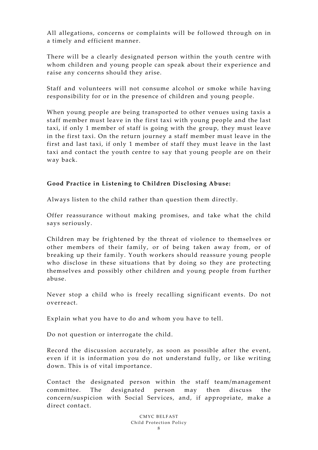All allegations, concerns or complaints will be followed through on in a timely and efficient manner.

There will be a clearly designated person within the youth centre with whom children and young people can speak about their experience and raise any concerns should they arise.

Staff and volunteers will not consume alcohol or smoke while having responsibility for or in the presence of children and young people.

When young people are being transported to other venues using taxis a staff member must leave in the first taxi with young people and the last taxi, if only 1 member of staff is going with the group, they must leave in the first taxi. On the return journey a staff member must leave in the first and last taxi, if only 1 member of staff they must leave in the last taxi and contact the youth centre to say that young people are on their way back.

#### **Good Practice in Listening to Children Disclosing Abuse:**

Always listen to the child rather than question them directly.

Offer reassurance without making promises, and take what the child says seriously.

Children may be frightened by the threat of violence to themselves or other members of their family, or of being taken away from, or of breaking up their family. Youth workers should reassure young people who disclose in these situations that by doing so they are protecting themselves and possibly other children and young people from further abuse.

Never stop a child who is freely recalling significant events. Do not overreact.

Explain what you have to do and whom you have to tell.

Do not question or interrogate the child.

Record the discussion accurately, as soon as possible after the event, even if it is information you do not understand fully, or like writing down. This is of vital importance.

Contact the designated person within the staff team/management committee. The designated person may then discuss the concern/suspicion with Social Services, and, if appropriate, make a direct contact.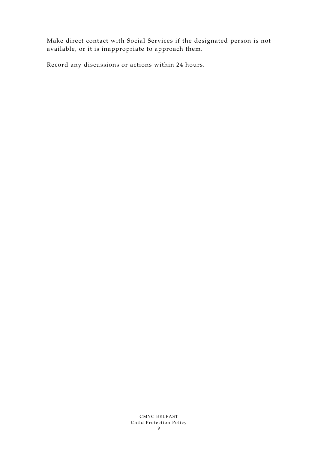Make direct contact with Social Services if the designated person is not available, or it is inappropriate to approach them.

Record any discussions or actions within 24 hours.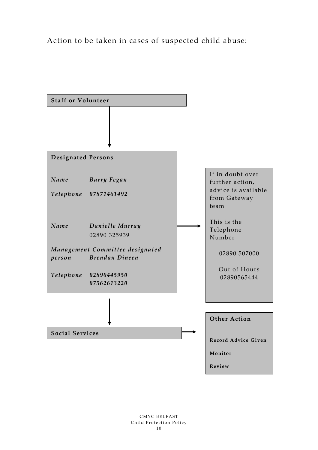Action to be taken in cases of suspected child abuse:

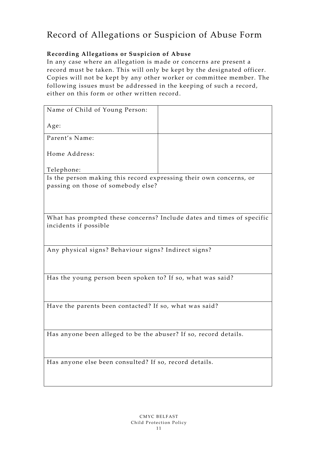### Record of Allegations or Suspicion of Abuse Form

#### **Recording Allegations or Suspicion of Abuse**

In any case where an allegation is made or concerns are present a record must be taken. This will only be kept by the designated officer. Copies will not be kept by any other worker or committee member. The following issues must be addressed in the keeping of such a record, either on this form or other written record.

| Name of Child of Young Person:                                                                           |  |
|----------------------------------------------------------------------------------------------------------|--|
| Age:                                                                                                     |  |
| Parent's Name:                                                                                           |  |
| Home Address:                                                                                            |  |
| Telephone:                                                                                               |  |
| Is the person making this record expressing their own concerns, or<br>passing on those of somebody else? |  |
| What has prompted these concerns? Include dates and times of specific<br>incidents if possible           |  |
| Any physical signs? Behaviour signs? Indirect signs?                                                     |  |
| Has the young person been spoken to? If so, what was said?                                               |  |
| Have the parents been contacted? If so, what was said?                                                   |  |
| Has anyone been alleged to be the abuser? If so, record details.                                         |  |
| Has anyone else been consulted? If so, record details.                                                   |  |